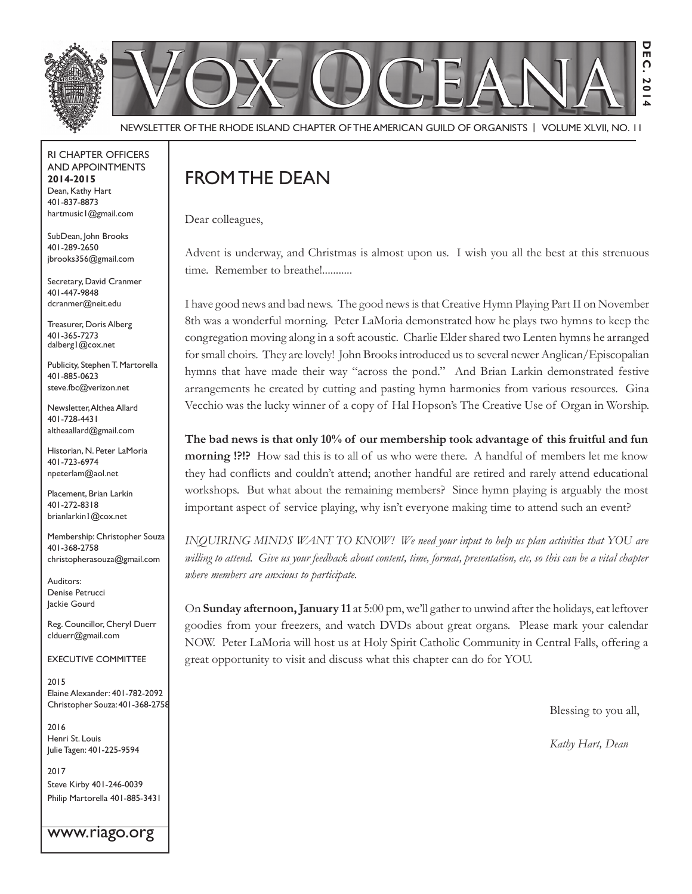

Newsletter of the Rhode Island Chapter of the American Guild of OrganistS | Volume XLVII, No. 11

RI Chapter Officers and Appointments **2014-2015** Dean, Kathy Hart 401-837-8873 hartmusic1@gmail.com

SubDean, John Brooks 401-289-2650 jbrooks356@gmail.com

Secretary, David Cranmer 401-447-9848 dcranmer@neit.edu

Treasurer, Doris Alberg 401-365-7273 dalberg1@cox.net

Publicity, Stephen T. Martorella 401-885-0623 steve.fbc@verizon.net

Newsletter, Althea Allard 401-728-4431 altheaallard@gmail.com

Historian, N. Peter LaMoria 401-723-6974 npeterlam@aol.net

Placement, Brian Larkin 401-272-8318 brianlarkin1@cox.net

Membership: Christopher Souza 401-368-2758 christopherasouza@gmail.com

Auditors: Denise Petrucci Jackie Gourd

Reg. Councillor, Cheryl Duerr clduerr@gmail.com

Executive Committee

2015 Elaine Alexander: 401-782-2092 Christopher Souza: 401-368-2758

2016 Henri St. Louis Julie Tagen: 401-225-9594

2017 Steve Kirby 401-246-0039 Philip Martorella 401-885-3431

www.riago.org

## FROM THE DEAN

Dear colleagues,

Advent is underway, and Christmas is almost upon us. I wish you all the best at this strenuous time. Remember to breathe!...........

I have good news and bad news. The good news is that Creative Hymn Playing Part II on November 8th was a wonderful morning. Peter LaMoria demonstrated how he plays two hymns to keep the congregation moving along in a soft acoustic. Charlie Elder shared two Lenten hymns he arranged for small choirs. They are lovely! John Brooks introduced us to several newer Anglican/Episcopalian hymns that have made their way "across the pond." And Brian Larkin demonstrated festive arrangements he created by cutting and pasting hymn harmonies from various resources. Gina Vecchio was the lucky winner of a copy of Hal Hopson's The Creative Use of Organ in Worship.

**The bad news is that only 10% of our membership took advantage of this fruitful and fun morning !?!?** How sad this is to all of us who were there. A handful of members let me know they had conflicts and couldn't attend; another handful are retired and rarely attend educational workshops. But what about the remaining members? Since hymn playing is arguably the most important aspect of service playing, why isn't everyone making time to attend such an event?

*INQUIRING MINDS WANT TO KNOW! We need your input to help us plan activities that YOU are willing to attend. Give us your feedback about content, time, format, presentation, etc, so this can be a vital chapter where members are anxious to participate.*

On **Sunday afternoon, January 11** at 5:00 pm, we'll gather to unwind after the holidays, eat leftover goodies from your freezers, and watch DVDs about great organs. Please mark your calendar NOW. Peter LaMoria will host us at Holy Spirit Catholic Community in Central Falls, offering a great opportunity to visit and discuss what this chapter can do for YOU.

Blessing to you all,

*Kathy Hart, Dean*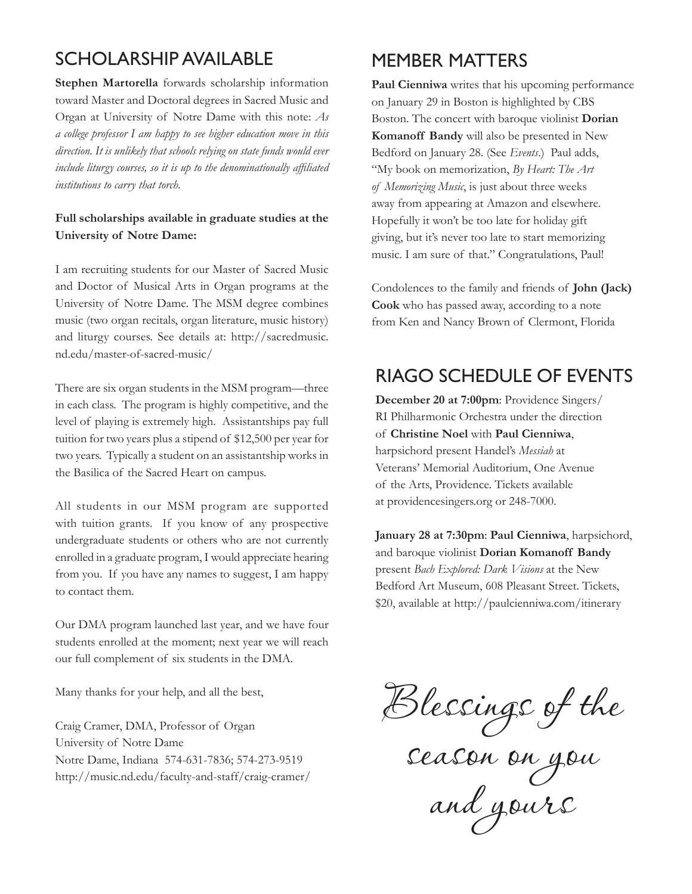## Scholarship Available

**Stephen Martorella** forwards scholarship information toward Master and Doctoral degrees in Sacred Music and Organ at University of Notre Dame with this note: *As a college professor I am happy to see higher education move in this direction. It is unlikely that schools relying on state funds would ever include liturgy courses, so it is up to the denominationally affiliated institutions to carry that torch.*

### **Full scholarships available in graduate studies at the University of Notre Dame:**

I am recruiting students for our Master of Sacred Music and Doctor of Musical Arts in Organ programs at the University of Notre Dame. The MSM degree combines music (two organ recitals, organ literature, music history) and liturgy courses. See details at: http://sacredmusic. nd.edu/master-of-sacred-music/

There are six organ students in the MSM program—three in each class. The program is highly competitive, and the level of playing is extremely high. Assistantships pay full tuition for two years plus a stipend of \$12,500 per year for two years. Typically a student on an assistantship works in the Basilica of the Sacred Heart on campus.

All students in our MSM program are supported with tuition grants. If you know of any prospective undergraduate students or others who are not currently enrolled in a graduate program, I would appreciate hearing from you. If you have any names to suggest, I am happy to contact them.

Our DMA program launched last year, and we have four students enrolled at the moment; next year we will reach our full complement of six students in the DMA.

Many thanks for your help, and all the best,

Craig Cramer, DMA, Professor of Organ University of Notre Dame Notre Dame, Indiana 574-631-7836; 574-273-9519 http://music.nd.edu/faculty-and-staff/craig-cramer/

## Member Matters

**Paul Cienniwa** writes that his upcoming performance on January 29 in Boston is highlighted by CBS Boston. The concert with baroque violinist **Dorian Komanoff Bandy** will also be presented in New Bedford on January 28. (See *Events*.) Paul adds, "My book on memorization, *By Heart: The Art of Memorizing Music*, is just about three weeks away from appearing at Amazon and elsewhere. Hopefully it won't be too late for holiday gift giving, but it's never too late to start memorizing music. I am sure of that." Congratulations, Paul!

Condolences to the family and friends of **John (Jack) Cook** who has passed away, according to a note from Ken and Nancy Brown of Clermont, Florida

## RIAGO SCHEDULE of Events

**December 20 at 7:00pm**: Providence Singers/ RI Philharmonic Orchestra under the direction of **Christine Noel** with **Paul Cienniwa**, harpsichord present Handel's *Messiah* at Veterans' Memorial Auditorium, One Avenue of the Arts, Providence. Tickets available at providencesingers.org or 248-7000.

**January 28 at 7:30pm**: **Paul Cienniwa**, harpsichord, and baroque violinist **Dorian Komanoff Bandy** present *Bach Explored: Dark Visions* at the New Bedford Art Museum, 608 Pleasant Street. Tickets, \$20, available at http://paulcienniwa.com/itinerary

Blessings of the

season on you and yours